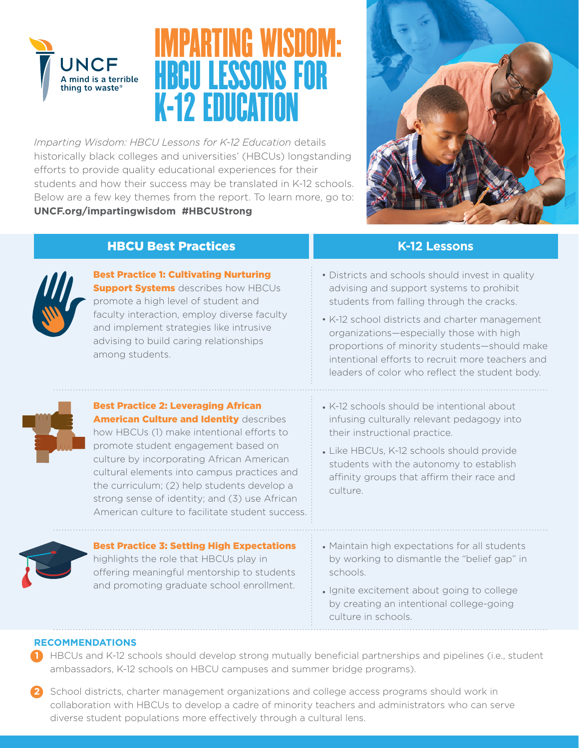

# IMPARTING WISDOM: HBCU LESSONS FOR K-12 EDUCATION

*Imparting Wisdom: HBCU Lessons for K-12 Education* details historically black colleges and universities' (HBCUs) longstanding efforts to provide quality educational experiences for their students and how their success may be translated in K-12 schools. Below are a few key themes from the report. To learn more, go to: **UNCF.org/impartingwisdom #HBCUStrong**



### **HBCU Best Practices K-12 Lessons**



Best Practice 1: Cultivating Nurturing **Support Systems** describes how HBCUs promote a high level of student and faculty interaction, employ diverse faculty and implement strategies like intrusive advising to build caring relationships among students.

- Districts and schools should invest in quality advising and support systems to prohibit students from falling through the cracks.
- K-12 school districts and charter management organizations—especially those with high proportions of minority students—should make intentional efforts to recruit more teachers and leaders of color who reflect the student body.



#### Best Practice 2: Leveraging African **American Culture and Identity describes** how HBCUs (1) make intentional efforts to promote student engagement based on culture by incorporating African American cultural elements into campus practices and the curriculum; (2) help students develop a strong sense of identity; and (3) use African

American culture to facilitate student success.

- K-12 schools should be intentional about infusing culturally relevant pedagogy into their instructional practice.
- Like HBCUs, K-12 schools should provide students with the autonomy to establish affinity groups that affirm their race and culture.

Best Practice 3: Setting High Expectations highlights the role that HBCUs play in offering meaningful mentorship to students and promoting graduate school enrollment.

- Maintain high expectations for all students by working to dismantle the "belief gap" in schools.
- Ignite excitement about going to college by creating an intentional college-going culture in schools.

#### **RECOMMENDATIONS**

**1** HBCUs and K-12 schools should develop strong mutually beneficial partnerships and pipelines (i.e., student ambassadors, K-12 schools on HBCU campuses and summer bridge programs).

**2** School districts, charter management organizations and college access programs should work in collaboration with HBCUs to develop a cadre of minority teachers and administrators who can serve diverse student populations more effectively through a cultural lens.